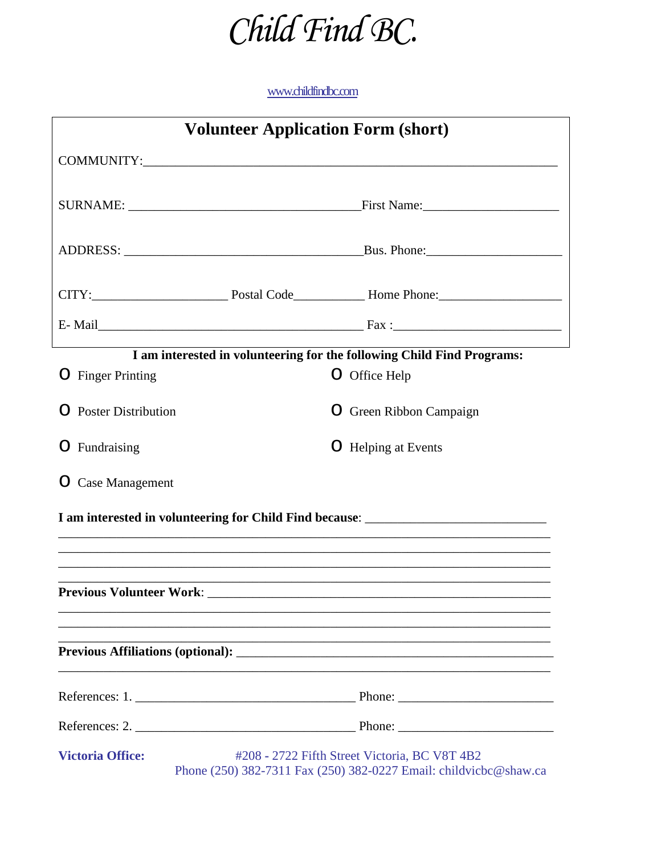

## [www.childfindbc.com](http://www.childfindbc.com/)

| <b>Volunteer Application Form (short)</b> |  |                                                                                                                    |  |  |
|-------------------------------------------|--|--------------------------------------------------------------------------------------------------------------------|--|--|
|                                           |  |                                                                                                                    |  |  |
|                                           |  |                                                                                                                    |  |  |
|                                           |  |                                                                                                                    |  |  |
|                                           |  |                                                                                                                    |  |  |
|                                           |  |                                                                                                                    |  |  |
|                                           |  | I am interested in volunteering for the following Child Find Programs:                                             |  |  |
| O Finger Printing                         |  | O Office Help                                                                                                      |  |  |
| <b>O</b> Poster Distribution              |  | O Green Ribbon Campaign                                                                                            |  |  |
| O Fundraising                             |  | O Helping at Events                                                                                                |  |  |
| O Case Management                         |  |                                                                                                                    |  |  |
|                                           |  | I am interested in volunteering for Child Find because: _________________________                                  |  |  |
|                                           |  |                                                                                                                    |  |  |
|                                           |  |                                                                                                                    |  |  |
|                                           |  |                                                                                                                    |  |  |
|                                           |  |                                                                                                                    |  |  |
| <b>Victoria Office:</b>                   |  | #208 - 2722 Fifth Street Victoria, BC V8T 4B2<br>Phone (250) 382-7311 Fax (250) 382-0227 Email: childvicbc@shaw.ca |  |  |